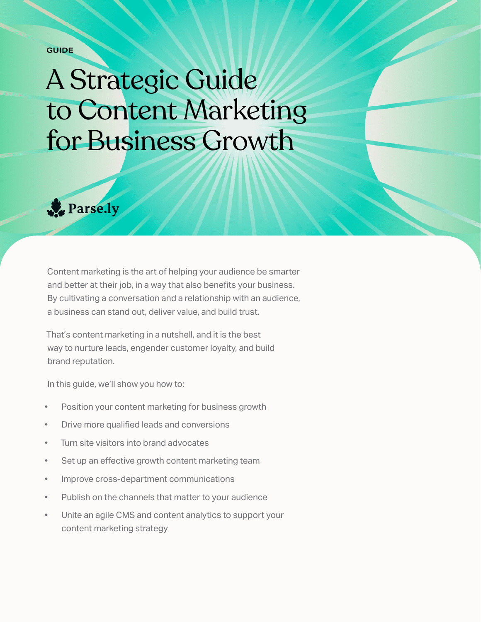**GUIDE**

# A Strategic Guide to Content Marketing for Business Growth



Content marketing is the art of helping your audience be smarter and better at their job, in a way that also benefits your business. By cultivating a conversation and a relationship with an audience, a business can stand out, deliver value, and build trust.

That's content marketing in a nutshell, and it is the best way to nurture leads, engender customer loyalty, and build brand reputation.

In this guide, we'll show you how to:

- Position your content marketing for business growth
- Drive more qualified leads and conversions
- Turn site visitors into brand advocates
- Set up an effective growth content marketing team
- Improve cross-department communications
- Publish on the channels that matter to your audience
- Unite an agile CMS and content analytics to support your content marketing strategy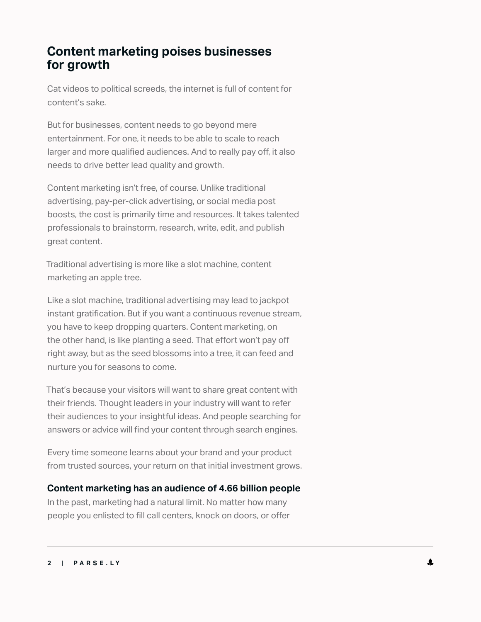# **Content marketing poises businesses for growth**

Cat videos to political screeds, the internet is full of content for content's sake.

But for businesses, content needs to go beyond mere entertainment. For one, it needs to be able to scale to reach larger and more qualified audiences. And to really pay off, it also needs to drive better lead quality and growth.

Content marketing isn't free, of course. Unlike traditional advertising, pay-per-click advertising, or social media post boosts, the cost is primarily time and resources. It takes talented professionals to brainstorm, research, write, edit, and publish great content.

Traditional advertising is more like a slot machine, content marketing an apple tree.

Like a slot machine, traditional advertising may lead to jackpot instant gratification. But if you want a continuous revenue stream, you have to keep dropping quarters. Content marketing, on the other hand, is like planting a seed. That effort won't pay off right away, but as the seed blossoms into a tree, it can feed and nurture you for seasons to come.

That's because your visitors will want to share great content with their friends. Thought leaders in your industry will want to refer their audiences to your insightful ideas. And people searching for answers or advice will find your content through search engines.

Every time someone learns about your brand and your product from trusted sources, your return on that initial investment grows.

## **Content marketing has an audience of 4.66 billion people**

In the past, marketing had a natural limit. No matter how many people you enlisted to fill call centers, knock on doors, or offer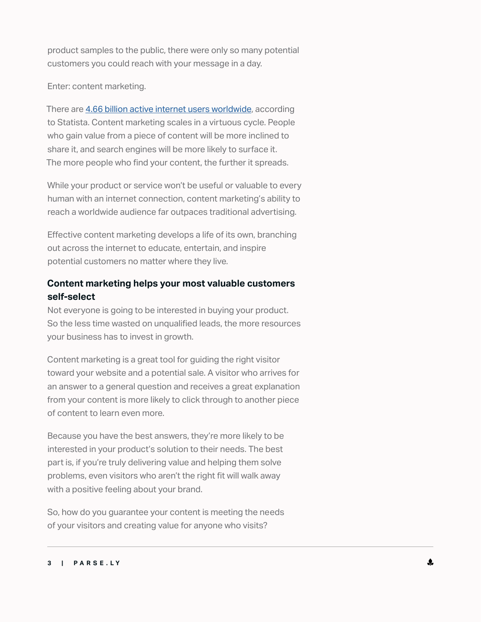product samples to the public, there were only so many potential customers you could reach with your message in a day.

Enter: content marketing.

There are [4.66 billion active internet users worldwide](https://www.statista.com/statistics/617136/digital-population-worldwide/), according to Statista. Content marketing scales in a virtuous cycle. People who gain value from a piece of content will be more inclined to share it, and search engines will be more likely to surface it. The more people who find your content, the further it spreads.

While your product or service won't be useful or valuable to every human with an internet connection, content marketing's ability to reach a worldwide audience far outpaces traditional advertising.

Effective content marketing develops a life of its own, branching out across the internet to educate, entertain, and inspire potential customers no matter where they live.

## **Content marketing helps your most valuable customers self-select**

Not everyone is going to be interested in buying your product. So the less time wasted on unqualified leads, the more resources your business has to invest in growth.

Content marketing is a great tool for guiding the right visitor toward your website and a potential sale. A visitor who arrives for an answer to a general question and receives a great explanation from your content is more likely to click through to another piece of content to learn even more.

Because you have the best answers, they're more likely to be interested in your product's solution to their needs. The best part is, if you're truly delivering value and helping them solve problems, even visitors who aren't the right fit will walk away with a positive feeling about your brand.

So, how do you guarantee your content is meeting the needs of your visitors and creating value for anyone who visits?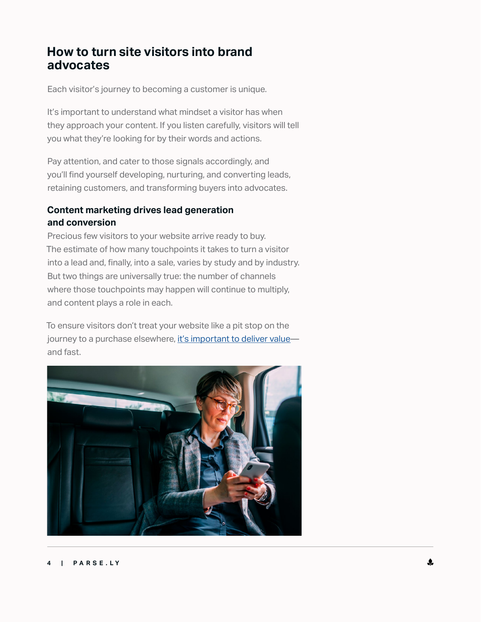# **How to turn site visitors into brand advocates**

Each visitor's journey to becoming a customer is unique.

It's important to understand what mindset a visitor has when they approach your content. If you listen carefully, visitors will tell you what they're looking for by their words and actions.

Pay attention, and cater to those signals accordingly, and you'll find yourself developing, nurturing, and converting leads, retaining customers, and transforming buyers into advocates.

## **Content marketing drives lead generation and conversion**

Precious few visitors to your website arrive ready to buy. The estimate of how many touchpoints it takes to turn a visitor into a lead and, finally, into a sale, varies by study and by industry. But two things are universally true: the number of channels where those touchpoints may happen will continue to multiply, and content plays a role in each.

To ensure visitors don't treat your website like a pit stop on the journey to a purchase elsewhere, it's important to deliver valueand fast.

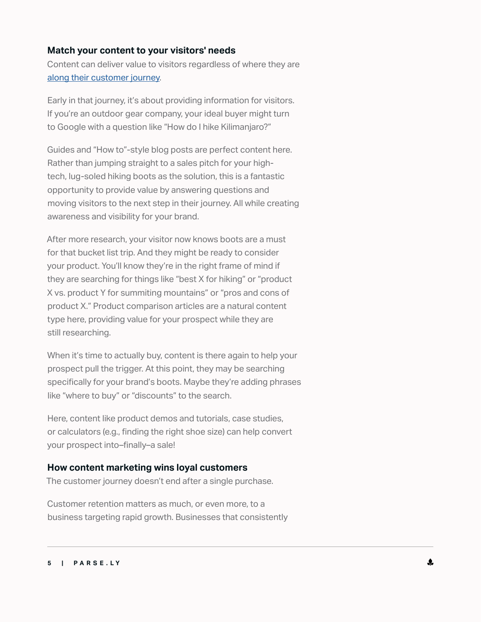#### **Match your content to your visitors' needs**

Content can deliver value to visitors regardless of where they are [along their customer journey](https://www.parse.ly/resources/guides/the-content-marketers-funnel).

Early in that journey, it's about providing information for visitors. If you're an outdoor gear company, your ideal buyer might turn to Google with a question like "How do I hike Kilimanjaro?"

Guides and "How to"-style blog posts are perfect content here. Rather than jumping straight to a sales pitch for your hightech, lug-soled hiking boots as the solution, this is a fantastic opportunity to provide value by answering questions and moving visitors to the next step in their journey. All while creating awareness and visibility for your brand.

After more research, your visitor now knows boots are a must for that bucket list trip. And they might be ready to consider your product. You'll know they're in the right frame of mind if they are searching for things like "best X for hiking" or "product X vs. product Y for summiting mountains" or "pros and cons of product X." Product comparison articles are a natural content type here, providing value for your prospect while they are still researching.

When it's time to actually buy, content is there again to help your prospect pull the trigger. At this point, they may be searching specifically for your brand's boots. Maybe they're adding phrases like "where to buy" or "discounts" to the search.

Here, content like product demos and tutorials, case studies, or calculators (e.g., finding the right shoe size) can help convert your prospect into–finally–a sale!

#### **How content marketing wins loyal customers**

The customer journey doesn't end after a single purchase.

Customer retention matters as much, or even more, to a business targeting rapid growth. Businesses that consistently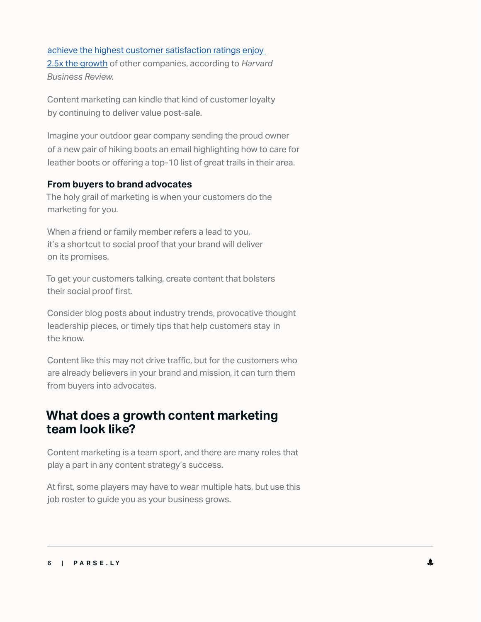[achieve the highest customer satisfaction ratings enjoy](https://hbr.org/2020/01/are-you-undervaluing-your-customers)  [2.5x the growth](https://hbr.org/2020/01/are-you-undervaluing-your-customers) of other companies, according to *Harvard Business Review.*

Content marketing can kindle that kind of customer loyalty by continuing to deliver value post-sale.

Imagine your outdoor gear company sending the proud owner of a new pair of hiking boots an email highlighting how to care for leather boots or offering a top-10 list of great trails in their area.

#### **From buyers to brand advocates**

The holy grail of marketing is when your customers do the marketing for you.

When a friend or family member refers a lead to you, it's a shortcut to social proof that your brand will deliver on its promises.

To get your customers talking, create content that bolsters their social proof first.

Consider blog posts about industry trends, provocative thought leadership pieces, or timely tips that help customers stay in the know.

Content like this may not drive traffic, but for the customers who are already believers in your brand and mission, it can turn them from buyers into advocates.

# **What does a growth content marketing team look like?**

Content marketing is a team sport, and there are many roles that play a part in any content strategy's success.

At first, some players may have to wear multiple hats, but use this job roster to guide you as your business grows.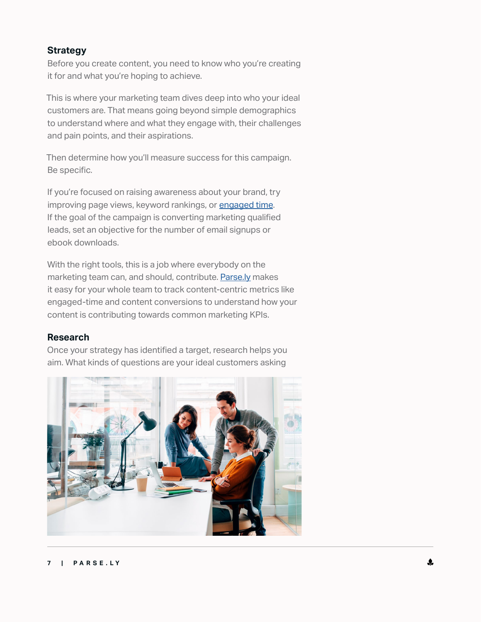#### **Strategy**

Before you create content, you need to know who you're creating it for and what you're hoping to achieve.

This is where your marketing team dives deep into who your ideal customers are. That means going beyond simple demographics to understand where and what they engage with, their challenges and pain points, and their aspirations.

Then determine how you'll measure success for this campaign. Be specific.

If you're focused on raising awareness about your brand, try improving page views, keyword rankings, or [engaged time](https://blog.parse.ly/three-ways-value-engaged-time/). If the goal of the campaign is converting marketing qualified leads, set an objective for the number of email signups or ebook downloads.

With the right tools, this is a job where everybody on the marketing team can, and should, contribute. [Parse.ly](https://www.parse.ly/) makes it easy for your whole team to track content-centric metrics like engaged-time and content conversions to understand how your content is contributing towards common marketing KPIs.

#### **Research**

Once your strategy has identified a target, research helps you aim. What kinds of questions are your ideal customers asking

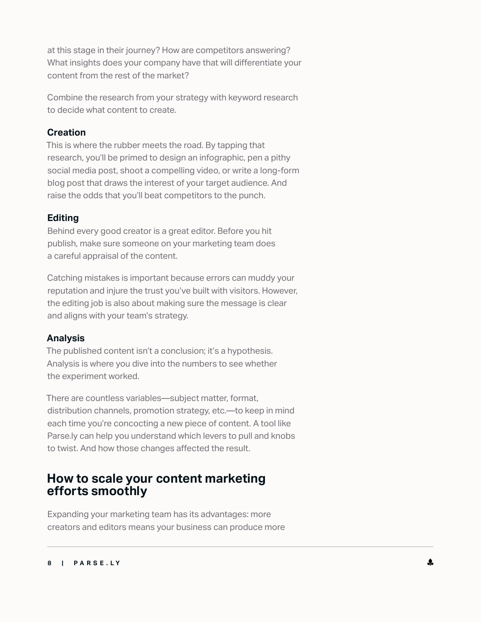at this stage in their journey? How are competitors answering? What insights does your company have that will differentiate your content from the rest of the market?

Combine the research from your strategy with keyword research to decide what content to create.

## **Creation**

This is where the rubber meets the road. By tapping that research, you'll be primed to design an infographic, pen a pithy social media post, shoot a compelling video, or write a long-form blog post that draws the interest of your target audience. And raise the odds that you'll beat competitors to the punch.

## **Editing**

Behind every good creator is a great editor. Before you hit publish, make sure someone on your marketing team does a careful appraisal of the content.

Catching mistakes is important because errors can muddy your reputation and injure the trust you've built with visitors. However, the editing job is also about making sure the message is clear and aligns with your team's strategy.

## **Analysis**

The published content isn't a conclusion; it's a hypothesis. Analysis is where you dive into the numbers to see whether the experiment worked.

There are countless variables—subject matter, format, distribution channels, promotion strategy, etc.—to keep in mind each time you're concocting a new piece of content. A tool like Parse.ly can help you understand which levers to pull and knobs to twist. And how those changes affected the result.

# **How to scale your content marketing efforts smoothly**

Expanding your marketing team has its advantages: more creators and editors means your business can produce more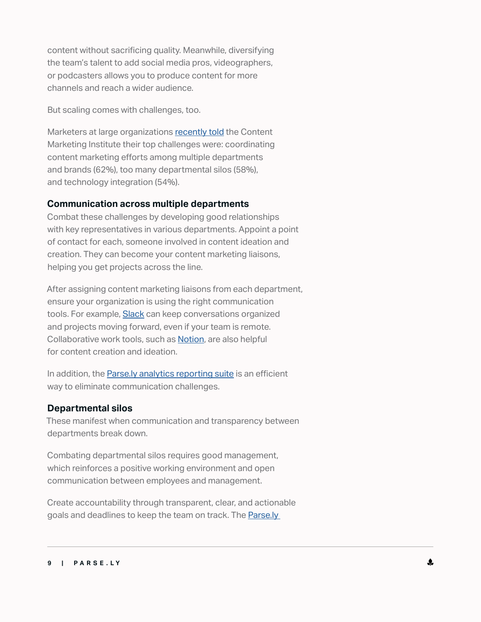content without sacrificing quality. Meanwhile, diversifying the team's talent to add social media pros, videographers, or podcasters allows you to produce content for more channels and reach a wider audience.

But scaling comes with challenges, too.

Marketers at large organizations [recently told](https://learn.seismic.com/rs/217-LXS-149/images/CMI%20Enterprise%20Content%20Marketing%202020%20Report.pdf) the Content Marketing Institute their top challenges were: coordinating content marketing efforts among multiple departments and brands (62%), too many departmental silos (58%), and technology integration (54%).

#### **Communication across multiple departments**

Combat these challenges by developing good relationships with key representatives in various departments. Appoint a point of contact for each, someone involved in content ideation and creation. They can become your content marketing liaisons, helping you get projects across the line.

After assigning content marketing liaisons from each department, ensure your organization is using the right communication tools. For example, **[Slack](https://slack.com)** can keep conversations organized and projects moving forward, even if your team is remote. Collaborative work tools, such as [Notion](https://www.notion.so/), are also helpful for content creation and ideation.

In addition, the **Parse.ly analytics reporting suite** is an efficient way to eliminate communication challenges.

## **Departmental silos**

These manifest when communication and transparency between departments break down.

Combating departmental silos requires good management, which reinforces a positive working environment and open communication between employees and management.

Create accountability through transparent, clear, and actionable goals and deadlines to keep the team on track. The [Parse.ly](https://blog.parse.ly/goals-to-align-content-strategy/)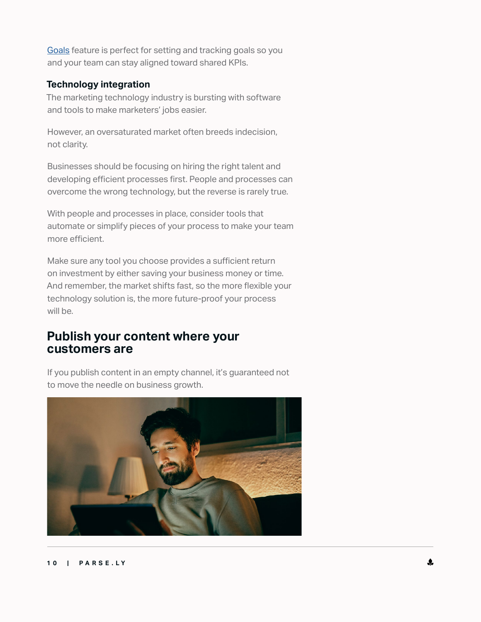[Goals](https://blog.parse.ly/goals-to-align-content-strategy/) feature is perfect for setting and tracking goals so you and your team can stay aligned toward shared KPIs.

#### **Technology integration**

The marketing technology industry is bursting with software and tools to make marketers' jobs easier.

However, an oversaturated market often breeds indecision, not clarity.

Businesses should be focusing on hiring the right talent and developing efficient processes first. People and processes can overcome the wrong technology, but the reverse is rarely true.

With people and processes in place, consider tools that automate or simplify pieces of your process to make your team more efficient.

Make sure any tool you choose provides a sufficient return on investment by either saving your business money or time. And remember, the market shifts fast, so the more flexible your technology solution is, the more future-proof your process will be.

## **Publish your content where your customers are**

If you publish content in an empty channel, it's guaranteed not to move the needle on business growth.

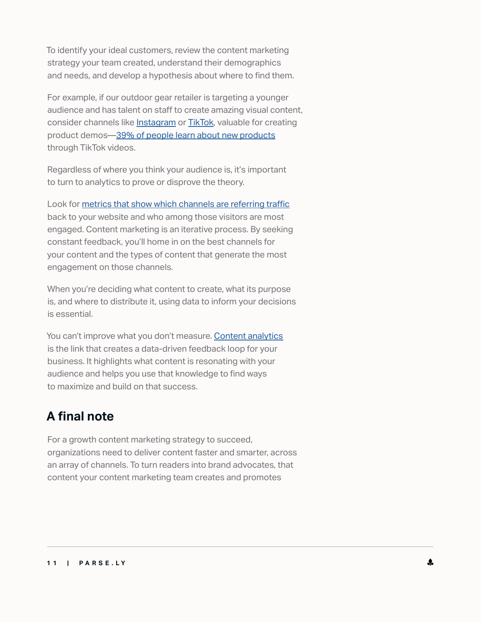To identify your ideal customers, review the content marketing strategy your team created, understand their demographics and needs, and develop a hypothesis about where to find them.

For example, if our outdoor gear retailer is targeting a younger audience and has talent on staff to create amazing visual content, consider channels like [Instagram](http://www.instagram.com) or [TikTok,](http://www.tiktok.com/) valuable for creating product demos—[39% of people learn about new products](https://www.retailwire.com/discussion/has-tiktok-become-the-most-direct-marketing-path-to-gen-z/) through TikTok videos.

Regardless of where you think your audience is, it's important to turn to analytics to prove or disprove the theory.

Look for [metrics that show which channels are referring traffic](https://blog.parse.ly/7-kpis/) back to your website and who among those visitors are most engaged. Content marketing is an iterative process. By seeking constant feedback, you'll home in on the best channels for your content and the types of content that generate the most engagement on those channels.

When you're deciding what content to create, what its purpose is, and where to distribute it, using data to inform your decisions is essential.

You can't improve what you don't measure. [Content analytics](https://wpvip.com/content-analytics/) is the link that creates a data-driven feedback loop for your business. It highlights what content is resonating with your audience and helps you use that knowledge to find ways to maximize and build on that success.

# **A final note**

For a growth content marketing strategy to succeed, organizations need to deliver content faster and smarter, across an array of channels. To turn readers into brand advocates, that content your content marketing team creates and promotes